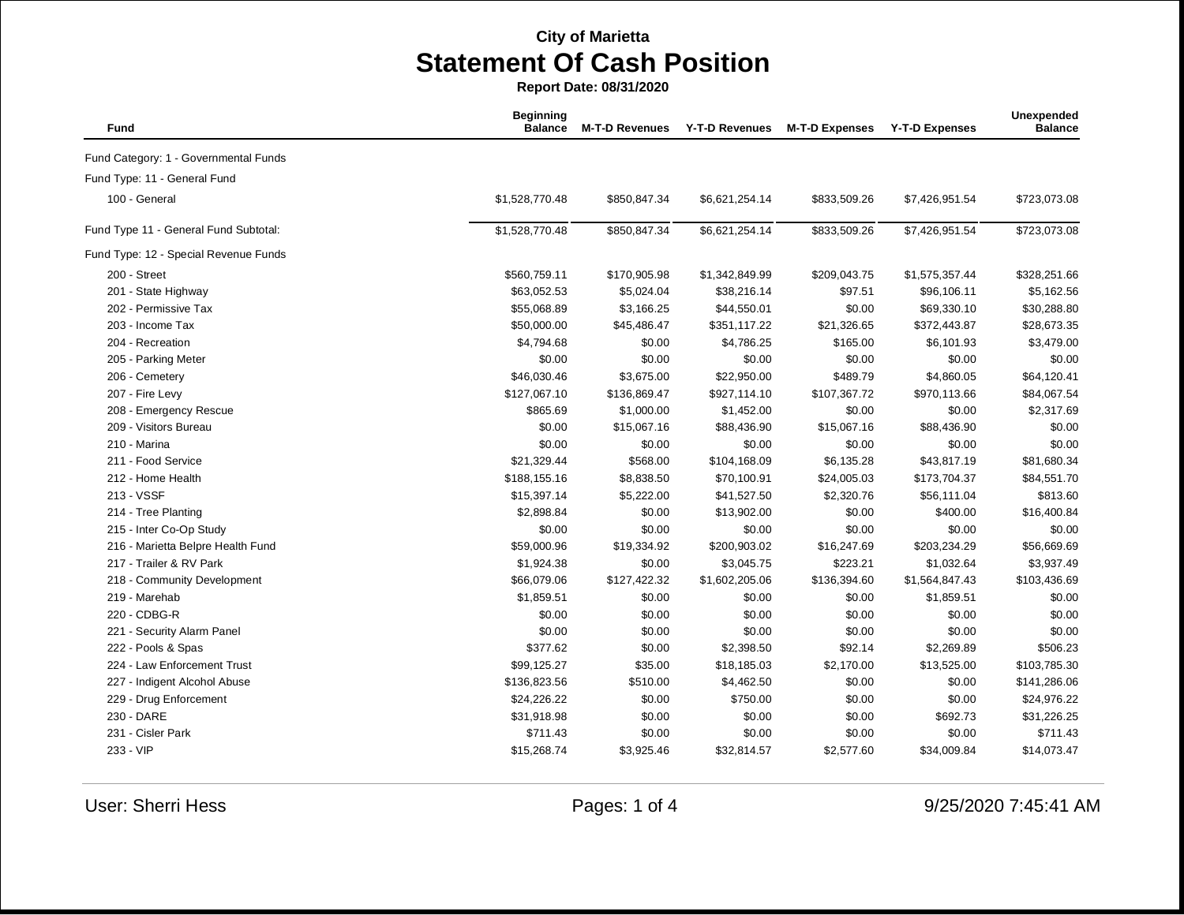**Report Date: 08/31/2020**

| Fund                                  | <b>Beginning</b><br><b>Balance</b> | <b>M-T-D Revenues</b> | <b>Y-T-D Revenues</b> | <b>M-T-D Expenses</b> | <b>Y-T-D Expenses</b> | Unexpended<br><b>Balance</b> |
|---------------------------------------|------------------------------------|-----------------------|-----------------------|-----------------------|-----------------------|------------------------------|
| Fund Category: 1 - Governmental Funds |                                    |                       |                       |                       |                       |                              |
| Fund Type: 11 - General Fund          |                                    |                       |                       |                       |                       |                              |
| 100 - General                         | \$1,528,770.48                     | \$850,847.34          | \$6,621,254.14        | \$833,509.26          | \$7,426,951.54        | \$723,073.08                 |
| Fund Type 11 - General Fund Subtotal: | \$1,528,770.48                     | \$850,847.34          | \$6,621,254.14        | \$833,509.26          | \$7,426,951.54        | \$723,073.08                 |
| Fund Type: 12 - Special Revenue Funds |                                    |                       |                       |                       |                       |                              |
| 200 - Street                          | \$560,759.11                       | \$170,905.98          | \$1,342,849.99        | \$209,043.75          | \$1,575,357.44        | \$328,251.66                 |
| 201 - State Highway                   | \$63,052.53                        | \$5,024.04            | \$38,216.14           | \$97.51               | \$96,106.11           | \$5,162.56                   |
| 202 - Permissive Tax                  | \$55,068.89                        | \$3,166.25            | \$44,550.01           | \$0.00                | \$69,330.10           | \$30,288.80                  |
| 203 - Income Tax                      | \$50,000.00                        | \$45,486.47           | \$351,117.22          | \$21,326.65           | \$372,443.87          | \$28,673.35                  |
| 204 - Recreation                      | \$4,794.68                         | \$0.00                | \$4,786.25            | \$165.00              | \$6,101.93            | \$3,479.00                   |
| 205 - Parking Meter                   | \$0.00                             | \$0.00                | \$0.00                | \$0.00                | \$0.00                | \$0.00                       |
| 206 - Cemetery                        | \$46,030.46                        | \$3,675.00            | \$22,950.00           | \$489.79              | \$4,860.05            | \$64,120.41                  |
| 207 - Fire Levy                       | \$127,067.10                       | \$136,869.47          | \$927,114.10          | \$107,367.72          | \$970,113.66          | \$84,067.54                  |
| 208 - Emergency Rescue                | \$865.69                           | \$1,000.00            | \$1,452.00            | \$0.00                | \$0.00                | \$2,317.69                   |
| 209 - Visitors Bureau                 | \$0.00                             | \$15,067.16           | \$88,436.90           | \$15,067.16           | \$88,436.90           | \$0.00                       |
| 210 - Marina                          | \$0.00                             | \$0.00                | \$0.00                | \$0.00                | \$0.00                | \$0.00                       |
| 211 - Food Service                    | \$21,329.44                        | \$568.00              | \$104,168.09          | \$6,135.28            | \$43,817.19           | \$81,680.34                  |
| 212 - Home Health                     | \$188,155.16                       | \$8,838.50            | \$70,100.91           | \$24,005.03           | \$173,704.37          | \$84,551.70                  |
| 213 - VSSF                            | \$15,397.14                        | \$5,222.00            | \$41,527.50           | \$2,320.76            | \$56,111.04           | \$813.60                     |
| 214 - Tree Planting                   | \$2,898.84                         | \$0.00                | \$13,902.00           | \$0.00                | \$400.00              | \$16,400.84                  |
| 215 - Inter Co-Op Study               | \$0.00                             | \$0.00                | \$0.00                | \$0.00                | \$0.00                | \$0.00                       |
| 216 - Marietta Belpre Health Fund     | \$59,000.96                        | \$19,334.92           | \$200,903.02          | \$16,247.69           | \$203,234.29          | \$56,669.69                  |
| 217 - Trailer & RV Park               | \$1,924.38                         | \$0.00                | \$3,045.75            | \$223.21              | \$1,032.64            | \$3,937.49                   |
| 218 - Community Development           | \$66,079.06                        | \$127,422.32          | \$1,602,205.06        | \$136,394.60          | \$1,564,847.43        | \$103,436.69                 |
| 219 - Marehab                         | \$1,859.51                         | \$0.00                | \$0.00                | \$0.00                | \$1,859.51            | \$0.00                       |
| 220 - CDBG-R                          | \$0.00                             | \$0.00                | \$0.00                | \$0.00                | \$0.00                | \$0.00                       |
| 221 - Security Alarm Panel            | \$0.00                             | \$0.00                | \$0.00                | \$0.00                | \$0.00                | \$0.00                       |
| 222 - Pools & Spas                    | \$377.62                           | \$0.00                | \$2,398.50            | \$92.14               | \$2,269.89            | \$506.23                     |
| 224 - Law Enforcement Trust           | \$99,125.27                        | \$35.00               | \$18,185.03           | \$2,170.00            | \$13,525.00           | \$103,785.30                 |
| 227 - Indigent Alcohol Abuse          | \$136,823.56                       | \$510.00              | \$4,462.50            | \$0.00                | \$0.00                | \$141,286.06                 |
| 229 - Drug Enforcement                | \$24,226.22                        | \$0.00                | \$750.00              | \$0.00                | \$0.00                | \$24,976.22                  |
| 230 - DARE                            | \$31,918.98                        | \$0.00                | \$0.00                | \$0.00                | \$692.73              | \$31,226.25                  |
| 231 - Cisler Park                     | \$711.43                           | \$0.00                | \$0.00                | \$0.00                | \$0.00                | \$711.43                     |
| 233 - VIP                             | \$15,268.74                        | \$3,925.46            | \$32,814.57           | \$2,577.60            | \$34,009.84           | \$14,073.47                  |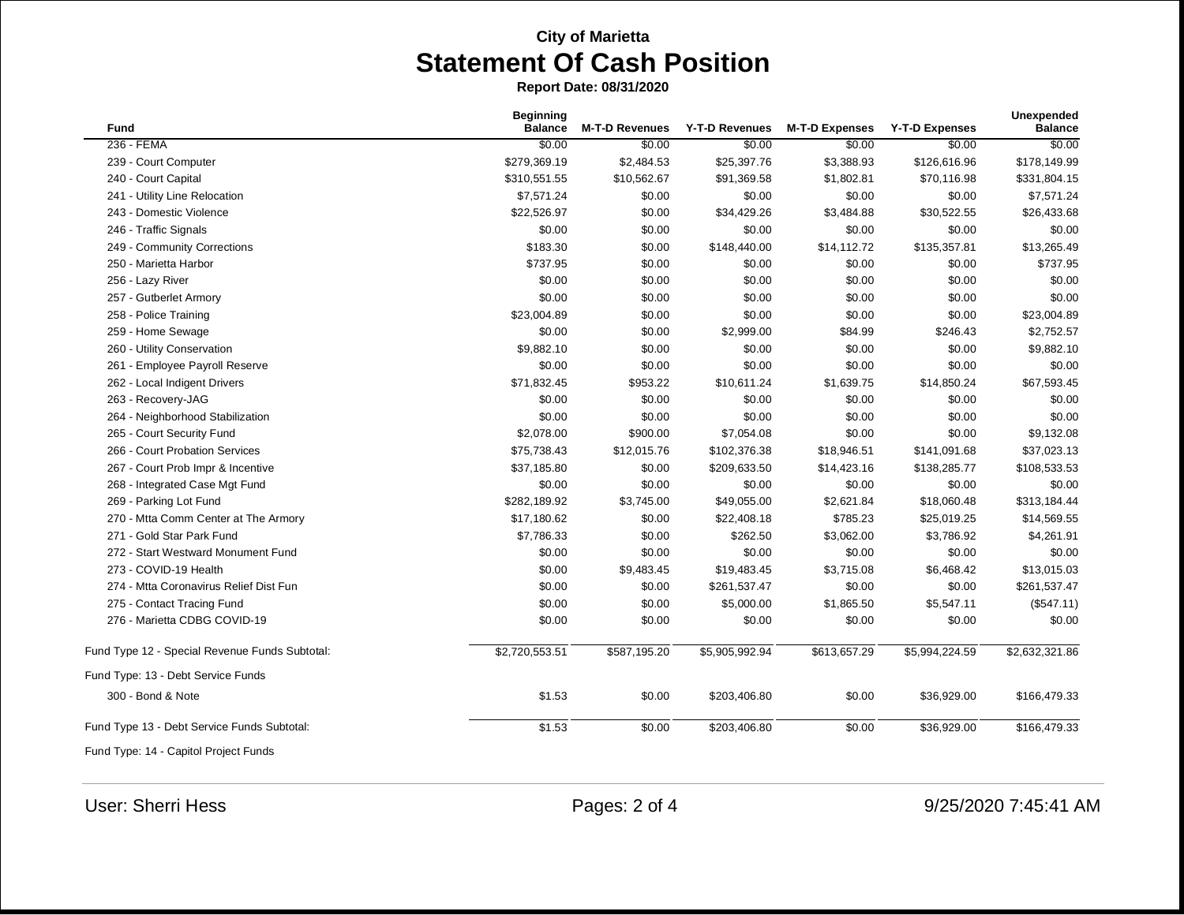**Report Date: 08/31/2020**

| <b>Fund</b>                                    | <b>Beginning</b><br><b>Balance</b> | <b>M-T-D Revenues</b> | Y-T-D Revenues | <b>M-T-D Expenses</b> | <b>Y-T-D Expenses</b> | Unexpended<br><b>Balance</b> |
|------------------------------------------------|------------------------------------|-----------------------|----------------|-----------------------|-----------------------|------------------------------|
| 236 - FEMA                                     | \$0.00                             | \$0.00                | \$0.00         | \$0.00                | \$0.00                | \$0.00                       |
| 239 - Court Computer                           | \$279,369.19                       | \$2,484.53            | \$25,397.76    | \$3,388.93            | \$126,616.96          | \$178,149.99                 |
| 240 - Court Capital                            | \$310,551.55                       | \$10,562.67           | \$91,369.58    | \$1,802.81            | \$70,116.98           | \$331,804.15                 |
| 241 - Utility Line Relocation                  | \$7,571.24                         | \$0.00                | \$0.00         | \$0.00                | \$0.00                | \$7,571.24                   |
| 243 - Domestic Violence                        | \$22,526.97                        | \$0.00                | \$34,429.26    | \$3,484.88            | \$30,522.55           | \$26,433.68                  |
| 246 - Traffic Signals                          | \$0.00                             | \$0.00                | \$0.00         | \$0.00                | \$0.00                | \$0.00                       |
| 249 - Community Corrections                    | \$183.30                           | \$0.00                | \$148,440.00   | \$14,112.72           | \$135,357.81          | \$13,265.49                  |
| 250 - Marietta Harbor                          | \$737.95                           | \$0.00                | \$0.00         | \$0.00                | \$0.00                | \$737.95                     |
| 256 - Lazy River                               | \$0.00                             | \$0.00                | \$0.00         | \$0.00                | \$0.00                | \$0.00                       |
| 257 - Gutberlet Armory                         | \$0.00                             | \$0.00                | \$0.00         | \$0.00                | \$0.00                | \$0.00                       |
| 258 - Police Training                          | \$23,004.89                        | \$0.00                | \$0.00         | \$0.00                | \$0.00                | \$23,004.89                  |
| 259 - Home Sewage                              | \$0.00                             | \$0.00                | \$2,999.00     | \$84.99               | \$246.43              | \$2,752.57                   |
| 260 - Utility Conservation                     | \$9,882.10                         | \$0.00                | \$0.00         | \$0.00                | \$0.00                | \$9,882.10                   |
| 261 - Employee Payroll Reserve                 | \$0.00                             | \$0.00                | \$0.00         | \$0.00                | \$0.00                | \$0.00                       |
| 262 - Local Indigent Drivers                   | \$71,832.45                        | \$953.22              | \$10,611.24    | \$1,639.75            | \$14,850.24           | \$67,593.45                  |
| 263 - Recovery-JAG                             | \$0.00                             | \$0.00                | \$0.00         | \$0.00                | \$0.00                | \$0.00                       |
| 264 - Neighborhood Stabilization               | \$0.00                             | \$0.00                | \$0.00         | \$0.00                | \$0.00                | \$0.00                       |
| 265 - Court Security Fund                      | \$2,078.00                         | \$900.00              | \$7,054.08     | \$0.00                | \$0.00                | \$9,132.08                   |
| 266 - Court Probation Services                 | \$75,738.43                        | \$12,015.76           | \$102,376.38   | \$18,946.51           | \$141,091.68          | \$37,023.13                  |
| 267 - Court Prob Impr & Incentive              | \$37,185.80                        | \$0.00                | \$209,633.50   | \$14,423.16           | \$138,285.77          | \$108,533.53                 |
| 268 - Integrated Case Mgt Fund                 | \$0.00                             | \$0.00                | \$0.00         | \$0.00                | \$0.00                | \$0.00                       |
| 269 - Parking Lot Fund                         | \$282,189.92                       | \$3,745.00            | \$49,055.00    | \$2,621.84            | \$18,060.48           | \$313,184.44                 |
| 270 - Mtta Comm Center at The Armory           | \$17,180.62                        | \$0.00                | \$22,408.18    | \$785.23              | \$25,019.25           | \$14,569.55                  |
| 271 - Gold Star Park Fund                      | \$7,786.33                         | \$0.00                | \$262.50       | \$3,062.00            | \$3,786.92            | \$4,261.91                   |
| 272 - Start Westward Monument Fund             | \$0.00                             | \$0.00                | \$0.00         | \$0.00                | \$0.00                | \$0.00                       |
| 273 - COVID-19 Health                          | \$0.00                             | \$9,483.45            | \$19,483.45    | \$3,715.08            | \$6,468.42            | \$13,015.03                  |
| 274 - Mtta Coronavirus Relief Dist Fun         | \$0.00                             | \$0.00                | \$261,537.47   | \$0.00                | \$0.00                | \$261,537.47                 |
| 275 - Contact Tracing Fund                     | \$0.00                             | \$0.00                | \$5,000.00     | \$1,865.50            | \$5,547.11            | (\$547.11)                   |
| 276 - Marietta CDBG COVID-19                   | \$0.00                             | \$0.00                | \$0.00         | \$0.00                | \$0.00                | \$0.00                       |
| Fund Type 12 - Special Revenue Funds Subtotal: | \$2,720,553.51                     | \$587,195.20          | \$5,905,992.94 | \$613,657.29          | \$5,994,224.59        | \$2,632,321.86               |
| Fund Type: 13 - Debt Service Funds             |                                    |                       |                |                       |                       |                              |
| 300 - Bond & Note                              | \$1.53                             | \$0.00                | \$203,406.80   | \$0.00                | \$36,929.00           | \$166,479.33                 |
| Fund Type 13 - Debt Service Funds Subtotal:    | \$1.53                             | \$0.00                | \$203,406.80   | \$0.00                | \$36,929.00           | \$166,479.33                 |
| Fund Type: 14 - Capitol Project Funds          |                                    |                       |                |                       |                       |                              |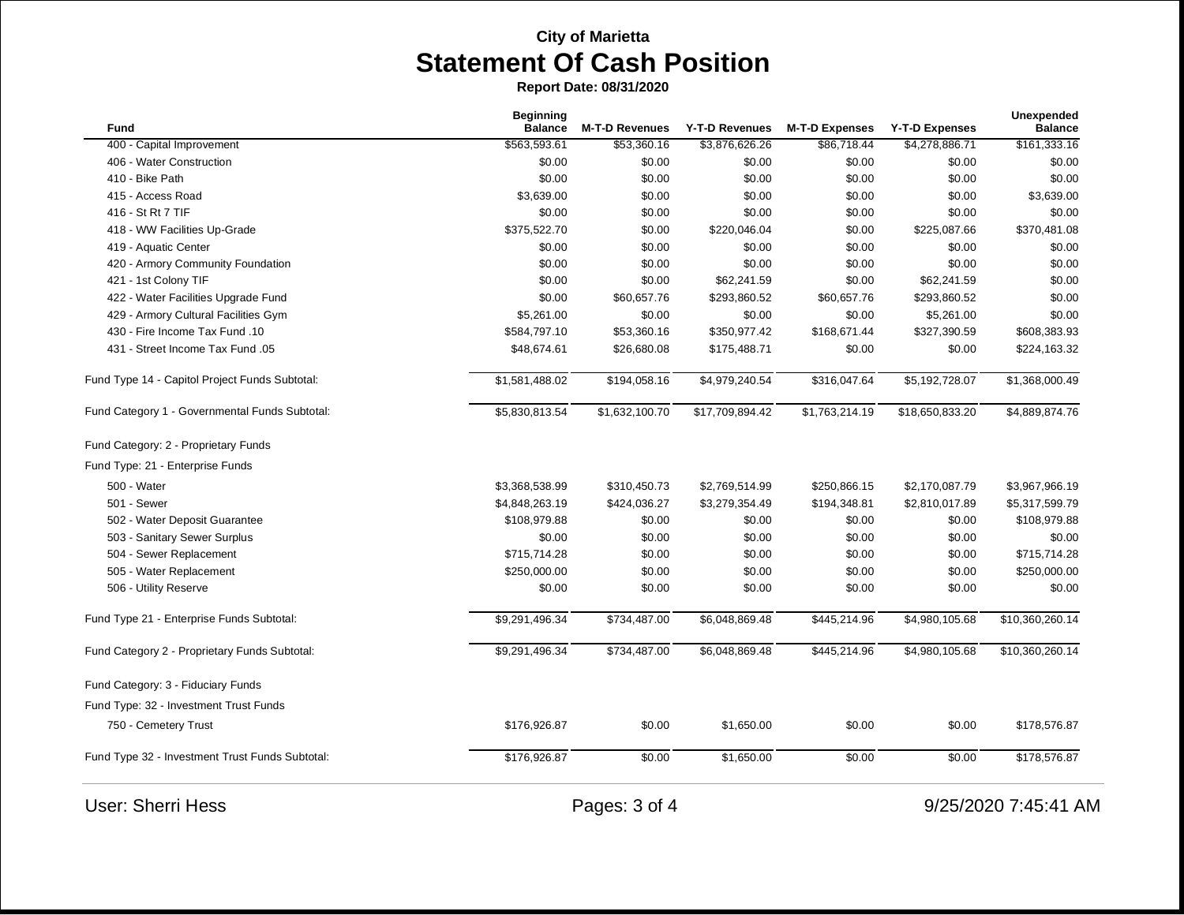**Report Date: 08/31/2020**

| <b>Beginning</b> |                                                                                  |                                                                    |                                                                       |                                                                    | <b>Unexpended</b>                                                                     |
|------------------|----------------------------------------------------------------------------------|--------------------------------------------------------------------|-----------------------------------------------------------------------|--------------------------------------------------------------------|---------------------------------------------------------------------------------------|
|                  |                                                                                  |                                                                    |                                                                       |                                                                    | <b>Balance</b>                                                                        |
|                  |                                                                                  |                                                                    |                                                                       |                                                                    | \$161,333.16                                                                          |
|                  |                                                                                  |                                                                    |                                                                       |                                                                    | \$0.00                                                                                |
|                  |                                                                                  |                                                                    |                                                                       |                                                                    | \$0.00                                                                                |
|                  |                                                                                  |                                                                    |                                                                       |                                                                    | \$3,639.00                                                                            |
| \$0.00           | \$0.00                                                                           | \$0.00                                                             | \$0.00                                                                | \$0.00                                                             | \$0.00                                                                                |
|                  | \$0.00                                                                           | \$220,046.04                                                       | \$0.00                                                                |                                                                    | \$370,481.08                                                                          |
| \$0.00           | \$0.00                                                                           | \$0.00                                                             | \$0.00                                                                | \$0.00                                                             | \$0.00                                                                                |
| \$0.00           | \$0.00                                                                           | \$0.00                                                             | \$0.00                                                                | \$0.00                                                             | \$0.00                                                                                |
| \$0.00           | \$0.00                                                                           | \$62,241.59                                                        | \$0.00                                                                | \$62,241.59                                                        | \$0.00                                                                                |
| \$0.00           | \$60,657.76                                                                      | \$293,860.52                                                       | \$60,657.76                                                           | \$293,860.52                                                       | \$0.00                                                                                |
| \$5,261.00       | \$0.00                                                                           | \$0.00                                                             | \$0.00                                                                | \$5,261.00                                                         | \$0.00                                                                                |
| \$584,797.10     | \$53,360.16                                                                      | \$350,977.42                                                       | \$168,671.44                                                          | \$327,390.59                                                       | \$608,383.93                                                                          |
| \$48,674.61      | \$26,680.08                                                                      | \$175,488.71                                                       | \$0.00                                                                | \$0.00                                                             | \$224,163.32                                                                          |
| \$1,581,488.02   | \$194,058.16                                                                     | \$4,979,240.54                                                     | \$316,047.64                                                          | \$5,192,728.07                                                     | \$1,368,000.49                                                                        |
| \$5,830,813.54   | \$1,632,100.70                                                                   | \$17,709,894.42                                                    | \$1,763,214.19                                                        | \$18,650,833.20                                                    | \$4,889,874.76                                                                        |
|                  |                                                                                  |                                                                    |                                                                       |                                                                    |                                                                                       |
|                  |                                                                                  |                                                                    |                                                                       |                                                                    |                                                                                       |
| \$3,368,538.99   | \$310,450.73                                                                     | \$2,769,514.99                                                     | \$250,866.15                                                          | \$2,170,087.79                                                     | \$3,967,966.19                                                                        |
| \$4,848,263.19   | \$424,036.27                                                                     | \$3,279,354.49                                                     | \$194,348.81                                                          | \$2,810,017.89                                                     | \$5,317,599.79                                                                        |
| \$108,979.88     | \$0.00                                                                           | \$0.00                                                             | \$0.00                                                                | \$0.00                                                             | \$108,979.88                                                                          |
| \$0.00           | \$0.00                                                                           | \$0.00                                                             | \$0.00                                                                | \$0.00                                                             | \$0.00                                                                                |
| \$715,714.28     | \$0.00                                                                           | \$0.00                                                             | \$0.00                                                                | \$0.00                                                             | \$715,714.28                                                                          |
| \$250,000.00     | \$0.00                                                                           | \$0.00                                                             | \$0.00                                                                | \$0.00                                                             | \$250,000.00                                                                          |
| \$0.00           | \$0.00                                                                           | \$0.00                                                             | \$0.00                                                                | \$0.00                                                             | \$0.00                                                                                |
| \$9,291,496.34   | \$734,487.00                                                                     | \$6,048,869.48                                                     | \$445,214.96                                                          | \$4,980,105.68                                                     | \$10,360,260.14                                                                       |
| \$9,291,496.34   | \$734,487.00                                                                     | \$6,048,869.48                                                     | \$445,214.96                                                          | \$4,980,105.68                                                     | \$10,360,260.14                                                                       |
|                  |                                                                                  |                                                                    |                                                                       |                                                                    |                                                                                       |
|                  |                                                                                  |                                                                    |                                                                       |                                                                    |                                                                                       |
| \$176,926.87     | \$0.00                                                                           | \$1,650.00                                                         | \$0.00                                                                | \$0.00                                                             | \$178,576.87                                                                          |
| \$176,926.87     | \$0.00                                                                           | \$1,650.00                                                         | \$0.00                                                                | \$0.00                                                             | \$178,576.87                                                                          |
|                  | <b>Balance</b><br>\$563,593.61<br>\$0.00<br>\$0.00<br>\$3,639.00<br>\$375,522.70 | <b>M-T-D Revenues</b><br>\$53,360.16<br>\$0.00<br>\$0.00<br>\$0.00 | <b>Y-T-D Revenues</b><br>\$3,876,626.26<br>\$0.00<br>\$0.00<br>\$0.00 | <b>M-T-D Expenses</b><br>\$86,718.44<br>\$0.00<br>\$0.00<br>\$0.00 | <b>Y-T-D Expenses</b><br>\$4,278,886.71<br>\$0.00<br>\$0.00<br>\$0.00<br>\$225,087.66 |

User: Sherri Hess Pages: 3 of 4 9/25/2020 7:45:41 AM